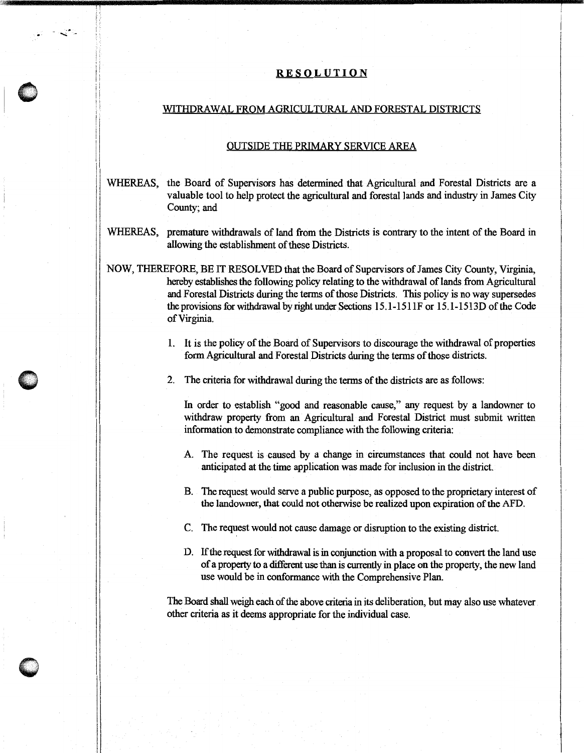## RESOLUTION

## WITHDRAWAL FROM AGRICULTURAL AND FORESTAL DISTRICTS

.~.·  $\blacksquare$ 

## OUTSIDE THE PRIMARY SERVICE AREA

- WHEREAS, the Board of Supervisors has determined that Agricultural and Forestal Districts are a valuable tool to help protect the agricultural and forestal lands and industry in James City County; and
- WHEREAS, premature withdrawals of land from the Districts is contrary to the intent of the Board in allowing the establishment of these Districts.
- NOW, THEREFORE, BE IT RESOLVED that the Board of Supervisors of James City County, Virginia, hereby establishes the following policy relating to the withdrawal of lands from Agricultural and Forestal Districts during the terms of those Districts. This policy is no way supersedes the provisions for withdrawal by right under Sections 15 .1-151 lF or 15. l-1513D of the Code of Virginia.
	- 1. It is the policy of the Board of Supervisors to discourage the withdrawal of properties form Agricultural and Forestal Districts during the terms of those districts.
	- 2. The criteria for withdrawal during the terms of the districts are as follows:

In order to establish "good and reasonable cause," any request by a landowner to withdraw property from an Agricultural and Forestal District must submit written information to demonstrate compliance with the following criteria:

- A. The request is caused by a change in circumstances that could not have been anticipated at the time application was made for inclusion in the district.
- B. The request would serve a public purpose, as opposed to the proprietary interest of the landowner, that could not otherwise be realized upon expiration of the AFD.
- C. The request would not cause damage or disruption to the existing district.
- D. If the request for withdrawal is in conjunction with a proposal to convert the land use of a property to a different use than is currently in place on the property, the new land use would be in conformance with the Comprehensive Plan.

The Board shall weigh each of the above criteria in its deliberation, but may also use whatever. other criteria as it deems appropriate for the individual case.